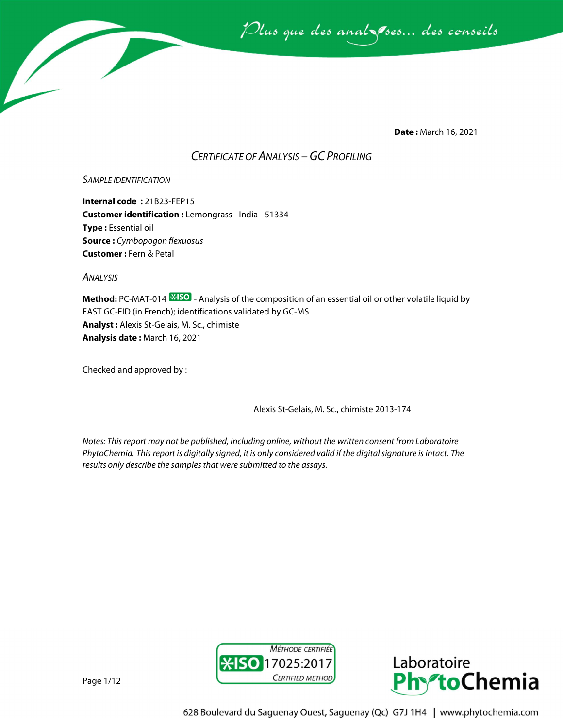

**Date :** March 16, 2021

# *CERTIFICATE OF ANALYSIS –GC PROFILING*

# *SAMPLE IDENTIFICATION*

**Internal code :** 21B23-FEP15 **Customer identification :** Lemongrass - India - 51334 **Type :** Essential oil **Source :** *Cymbopogon flexuosus* **Customer :** Fern & Petal

*ANALYSIS*

**Method:** PC-MAT-014  $\frac{1250}{12}$  - Analysis of the composition of an essential oil or other volatile liquid by FAST GC-FID (in French); identifications validated by GC-MS. **Analyst :** Alexis St-Gelais, M. Sc., chimiste **Analysis date :** March 16, 2021

Checked and approved by :

Alexis St-Gelais, M. Sc., chimiste 2013-174

*Notes: This report may not be published, including online, without the written consent from Laboratoire PhytoChemia. This report is digitally signed, it is only considered valid if the digital signature is intact. The results only describe the samples that were submitted to the assays.*





Page 1/12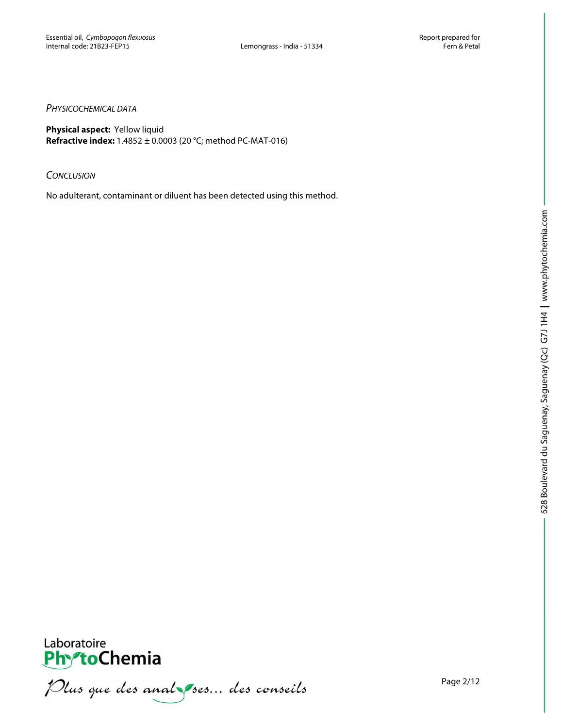# *PHYSICOCHEMICAL DATA*

**Physical aspect:** Yellow liquid **Refractive index:** 1.4852 ± 0.0003 (20 °C; method PC-MAT-016)

## *CONCLUSION*

No adulterant, contaminant or diluent has been detected using this method.



PhytoChemia<br>PhytoChemia<br>*Plus que des analyses... des conseils*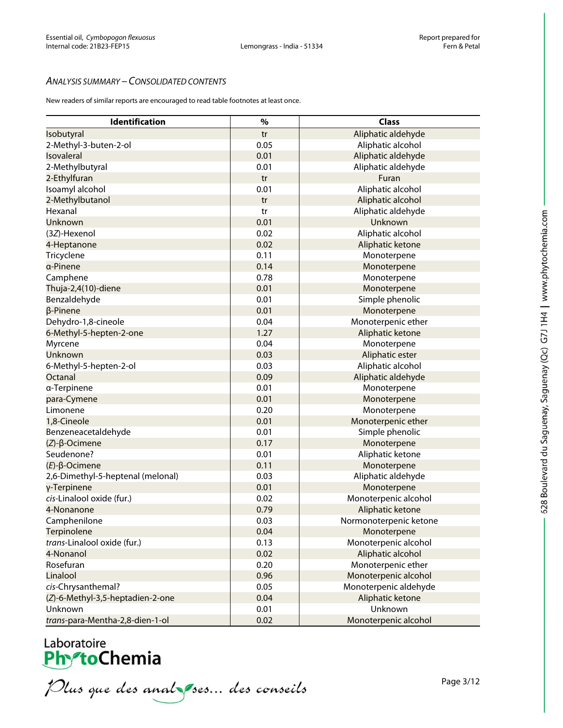# *ANALYSIS SUMMARY – CONSOLIDATED CONTENTS*

New readers of similar reports are encouraged to read table footnotes at least once.

| Identification                    | $\%$ | <b>Class</b>           |
|-----------------------------------|------|------------------------|
| Isobutyral                        | tr   | Aliphatic aldehyde     |
| 2-Methyl-3-buten-2-ol             | 0.05 | Aliphatic alcohol      |
| Isovaleral                        | 0.01 | Aliphatic aldehyde     |
| 2-Methylbutyral                   | 0.01 | Aliphatic aldehyde     |
| 2-Ethylfuran                      | tr   | Furan                  |
| Isoamyl alcohol                   | 0.01 | Aliphatic alcohol      |
| 2-Methylbutanol                   | tr   | Aliphatic alcohol      |
| Hexanal                           | tr   | Aliphatic aldehyde     |
| Unknown                           | 0.01 | Unknown                |
| (3Z)-Hexenol                      | 0.02 | Aliphatic alcohol      |
| 4-Heptanone                       | 0.02 | Aliphatic ketone       |
| Tricyclene                        | 0.11 | Monoterpene            |
| a-Pinene                          | 0.14 | Monoterpene            |
| Camphene                          | 0.78 | Monoterpene            |
|                                   | 0.01 |                        |
| Thuja-2,4(10)-diene               | 0.01 | Monoterpene            |
| Benzaldehyde                      | 0.01 | Simple phenolic        |
| $\beta$ -Pinene                   |      | Monoterpene            |
| Dehydro-1,8-cineole               | 0.04 | Monoterpenic ether     |
| 6-Methyl-5-hepten-2-one           | 1.27 | Aliphatic ketone       |
| Myrcene                           | 0.04 | Monoterpene            |
| Unknown                           | 0.03 | Aliphatic ester        |
| 6-Methyl-5-hepten-2-ol            | 0.03 | Aliphatic alcohol      |
| Octanal                           | 0.09 | Aliphatic aldehyde     |
| a-Terpinene                       | 0.01 | Monoterpene            |
| para-Cymene                       | 0.01 | Monoterpene            |
| Limonene                          | 0.20 | Monoterpene            |
| 1,8-Cineole                       | 0.01 | Monoterpenic ether     |
| Benzeneacetaldehyde               | 0.01 | Simple phenolic        |
| $(Z)$ - $\beta$ -Ocimene          | 0.17 | Monoterpene            |
| Seudenone?                        | 0.01 | Aliphatic ketone       |
| $(E)$ -β-Ocimene                  | 0.11 | Monoterpene            |
| 2,6-Dimethyl-5-heptenal (melonal) | 0.03 | Aliphatic aldehyde     |
| γ-Terpinene                       | 0.01 | Monoterpene            |
| cis-Linalool oxide (fur.)         | 0.02 | Monoterpenic alcohol   |
| 4-Nonanone                        | 0.79 | Aliphatic ketone       |
| Camphenilone                      | 0.03 | Normonoterpenic ketone |
| Terpinolene                       | 0.04 | Monoterpene            |
| trans-Linalool oxide (fur.)       | 0.13 | Monoterpenic alcohol   |
| 4-Nonanol                         | 0.02 | Aliphatic alcohol      |
| Rosefuran                         | 0.20 | Monoterpenic ether     |
| Linalool                          | 0.96 | Monoterpenic alcohol   |
| cis-Chrysanthemal?                | 0.05 | Monoterpenic aldehyde  |
| (Z)-6-Methyl-3,5-heptadien-2-one  | 0.04 | Aliphatic ketone       |
| Unknown                           | 0.01 | Unknown                |
| trans-para-Mentha-2,8-dien-1-ol   | 0.02 | Monoterpenic alcohol   |

Laboratoire<br>PhytoChemia<br>*Plus que des analyses... des conseils* 

Page 3/12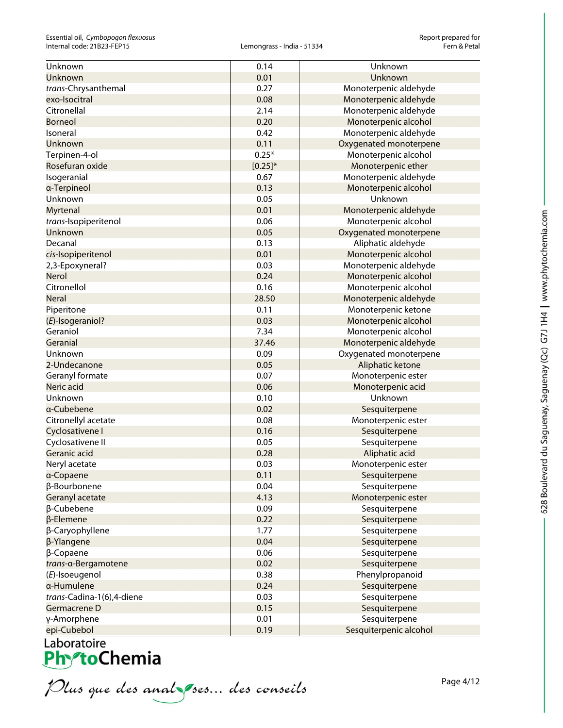| Unknown                   | 0.14         | Unknown                |
|---------------------------|--------------|------------------------|
| Unknown                   | 0.01         | Unknown                |
| trans-Chrysanthemal       | 0.27         | Monoterpenic aldehyde  |
| exo-Isocitral             | 0.08         | Monoterpenic aldehyde  |
| Citronellal               | 2.14         | Monoterpenic aldehyde  |
| <b>Borneol</b>            | 0.20         | Monoterpenic alcohol   |
| Isoneral                  | 0.42         | Monoterpenic aldehyde  |
| Unknown                   | 0.11         | Oxygenated monoterpene |
| Terpinen-4-ol             | $0.25*$      | Monoterpenic alcohol   |
| Rosefuran oxide           | $[0.25]^{*}$ | Monoterpenic ether     |
| Isogeranial               | 0.67         | Monoterpenic aldehyde  |
| a-Terpineol               | 0.13         | Monoterpenic alcohol   |
| Unknown                   | 0.05         | Unknown                |
| Myrtenal                  | 0.01         | Monoterpenic aldehyde  |
| trans-Isopiperitenol      | 0.06         | Monoterpenic alcohol   |
| Unknown                   | 0.05         | Oxygenated monoterpene |
| Decanal                   | 0.13         | Aliphatic aldehyde     |
| cis-Isopiperitenol        | 0.01         | Monoterpenic alcohol   |
| 2,3-Epoxyneral?           | 0.03         | Monoterpenic aldehyde  |
| <b>Nerol</b>              | 0.24         | Monoterpenic alcohol   |
| Citronellol               | 0.16         | Monoterpenic alcohol   |
| <b>Neral</b>              | 28.50        | Monoterpenic aldehyde  |
| Piperitone                | 0.11         | Monoterpenic ketone    |
| $(E)$ -Isogeraniol?       | 0.03         | Monoterpenic alcohol   |
| Geraniol                  | 7.34         | Monoterpenic alcohol   |
| Geranial                  | 37.46        | Monoterpenic aldehyde  |
| Unknown                   | 0.09         | Oxygenated monoterpene |
| 2-Undecanone              | 0.05         | Aliphatic ketone       |
| Geranyl formate           | 0.07         | Monoterpenic ester     |
| Neric acid                | 0.06         | Monoterpenic acid      |
| Unknown                   | 0.10         | Unknown                |
| a-Cubebene                | 0.02         | Sesquiterpene          |
| Citronellyl acetate       | 0.08         | Monoterpenic ester     |
| Cyclosativene I           | 0.16         | Sesquiterpene          |
| Cyclosativene II          | 0.05         | Sesquiterpene          |
| Geranic acid              | 0.28         | Aliphatic acid         |
| Neryl acetate             | 0.03         | Monoterpenic ester     |
| α-Copaene                 | 0.11         | Sesquiterpene          |
| β-Bourbonene              | 0.04         | Sesquiterpene          |
| Geranyl acetate           | 4.13         | Monoterpenic ester     |
| β-Cubebene                | 0.09         | Sesquiterpene          |
| β-Elemene                 | 0.22         | Sesquiterpene          |
| β-Caryophyllene           | 1.77         | Sesquiterpene          |
| β-Ylangene                | 0.04         | Sesquiterpene          |
| $\beta$ -Copaene          | 0.06         | Sesquiterpene          |
| trans-a-Bergamotene       | 0.02         | Sesquiterpene          |
| (E)-Isoeugenol            | 0.38         | Phenylpropanoid        |
| a-Humulene                | 0.24         | Sesquiterpene          |
| trans-Cadina-1(6),4-diene | 0.03         | Sesquiterpene          |
| Germacrene D              | 0.15         | Sesquiterpene          |
| γ-Amorphene               | 0.01         | Sesquiterpene          |
| epi-Cubebol               | 0.19         | Sesquiterpenic alcohol |

Plus que des analzes... des conseils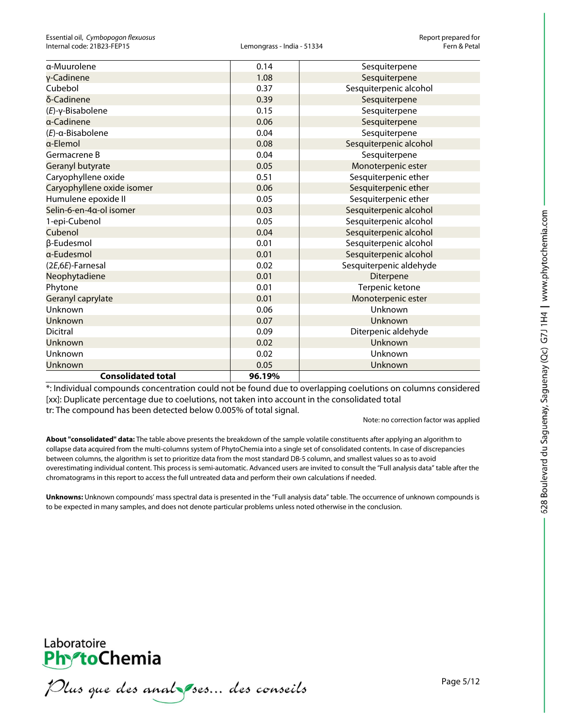| a-Muurolene                | 0.14   | Sesquiterpene           |
|----------------------------|--------|-------------------------|
| γ-Cadinene                 | 1.08   | Sesquiterpene           |
| Cubebol                    | 0.37   | Sesquiterpenic alcohol  |
| δ-Cadinene                 | 0.39   | Sesquiterpene           |
| $(E)-\gamma$ -Bisabolene   | 0.15   | Sesquiterpene           |
| a-Cadinene                 | 0.06   | Sesquiterpene           |
| $(E)$ -a-Bisabolene        | 0.04   | Sesquiterpene           |
| a-Elemol                   | 0.08   | Sesquiterpenic alcohol  |
| Germacrene B               | 0.04   | Sesquiterpene           |
| Geranyl butyrate           | 0.05   | Monoterpenic ester      |
| Caryophyllene oxide        | 0.51   | Sesquiterpenic ether    |
| Caryophyllene oxide isomer | 0.06   | Sesquiterpenic ether    |
| Humulene epoxide II        | 0.05   | Sesquiterpenic ether    |
| Selin-6-en-4α-ol isomer    | 0.03   | Sesquiterpenic alcohol  |
| 1-epi-Cubenol              | 0.05   | Sesquiterpenic alcohol  |
| Cubenol                    | 0.04   | Sesquiterpenic alcohol  |
| β-Eudesmol                 | 0.01   | Sesquiterpenic alcohol  |
| a-Eudesmol                 | 0.01   | Sesquiterpenic alcohol  |
| (2E,6E)-Farnesal           | 0.02   | Sesquiterpenic aldehyde |
| Neophytadiene              | 0.01   | Diterpene               |
| Phytone                    | 0.01   | Terpenic ketone         |
| Geranyl caprylate          | 0.01   | Monoterpenic ester      |
| Unknown                    | 0.06   | Unknown                 |
| Unknown                    | 0.07   | Unknown                 |
| <b>Dicitral</b>            | 0.09   | Diterpenic aldehyde     |
| Unknown                    | 0.02   | Unknown                 |
| Unknown                    | 0.02   | Unknown                 |
| Unknown                    | 0.05   | Unknown                 |
| <b>Consolidated total</b>  | 96.19% |                         |

\*: Individual compounds concentration could not be found due to overlapping coelutions on columns considered [xx]: Duplicate percentage due to coelutions, not taken into account in the consolidated total tr: The compound has been detected below 0.005% of total signal.

Note: no correction factor was applied

**About "consolidated" data:** The table above presents the breakdown of the sample volatile constituents after applying an algorithm to collapse data acquired from the multi-columns system of PhytoChemia into a single set of consolidated contents. In case of discrepancies between columns, the algorithm is set to prioritize data from the most standard DB-5 column, and smallest values so as to avoid overestimating individual content. This process is semi-automatic. Advanced users are invited to consult the "Full analysis data" table after the chromatograms in this report to access the full untreated data and perform their own calculations if needed.

**Unknowns:** Unknown compounds' mass spectral data is presented in the "Full analysis data" table. The occurrence of unknown compounds is to be expected in many samples, and does not denote particular problems unless noted otherwise in the conclusion.



Plus que des analzes... des conseils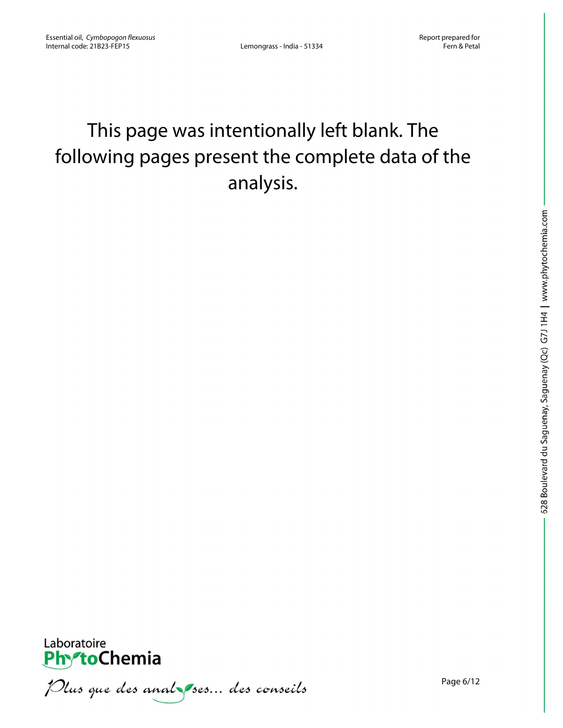# This page was intentionally left blank. The following pages present the complete data of the analysis.



Plus que des anal ses... des conseils

Page 6/12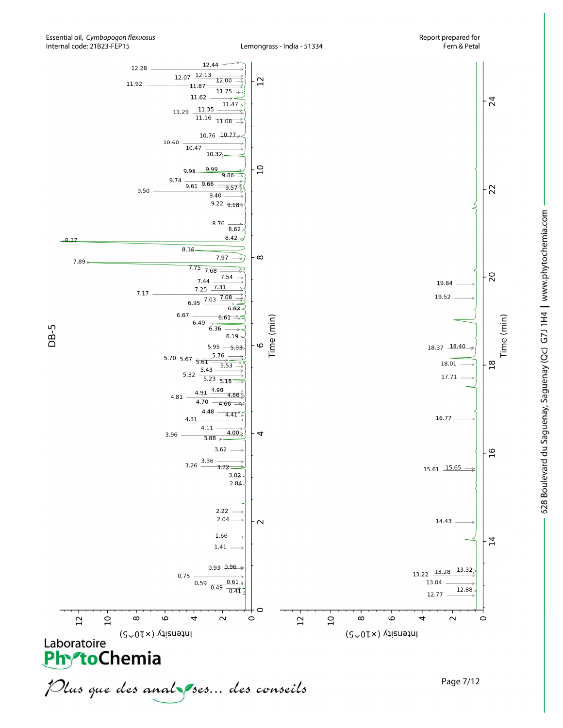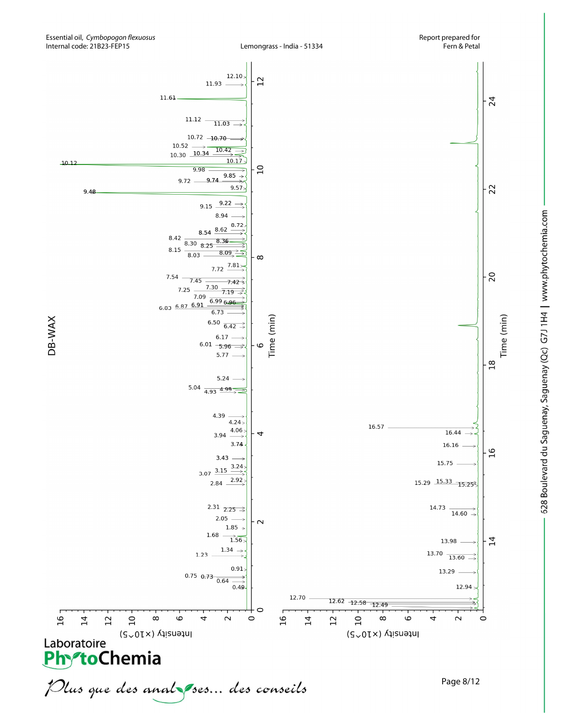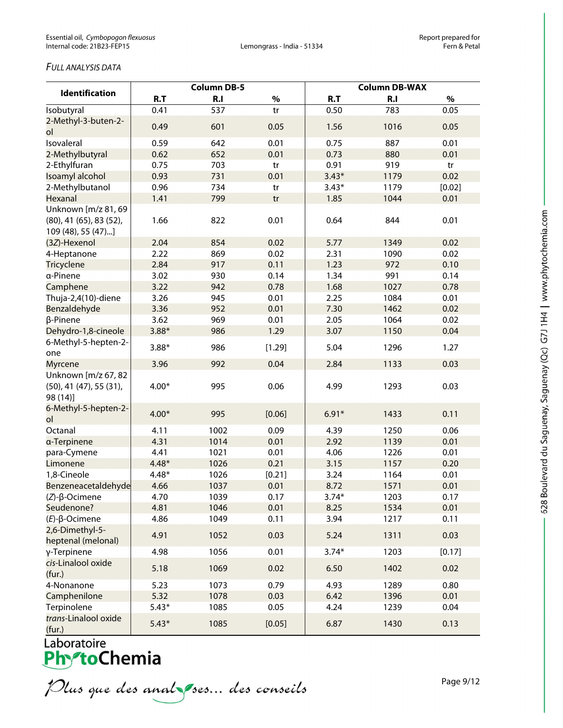# *FULL ANALYSIS DATA*

|                                                                      | <b>Column DB-5</b> |      |        | <b>Column DB-WAX</b> |      |        |
|----------------------------------------------------------------------|--------------------|------|--------|----------------------|------|--------|
| <b>Identification</b>                                                | R.T                | R.I  | $\%$   | R.T                  | R.I  | $\%$   |
| Isobutyral                                                           | 0.41               | 537  | tr     | 0.50                 | 783  | 0.05   |
| 2-Methyl-3-buten-2-                                                  | 0.49               | 601  | 0.05   | 1.56                 | 1016 | 0.05   |
| ol                                                                   |                    |      |        |                      |      |        |
| Isovaleral                                                           | 0.59               | 642  | 0.01   | 0.75                 | 887  | 0.01   |
| 2-Methylbutyral                                                      | 0.62               | 652  | 0.01   | 0.73                 | 880  | 0.01   |
| 2-Ethylfuran                                                         | 0.75               | 703  | tr     | 0.91                 | 919  | tr     |
| Isoamyl alcohol                                                      | 0.93               | 731  | 0.01   | $3.43*$              | 1179 | 0.02   |
| 2-Methylbutanol                                                      | 0.96               | 734  | tr     | $3.43*$              | 1179 | [0.02] |
| Hexanal                                                              | 1.41               | 799  | tr     | 1.85                 | 1044 | 0.01   |
| Unknown [m/z 81, 69<br>(80), 41 (65), 83 (52),<br>109 (48), 55 (47)] | 1.66               | 822  | 0.01   | 0.64                 | 844  | 0.01   |
| (3Z)-Hexenol                                                         | 2.04               | 854  | 0.02   | 5.77                 | 1349 | 0.02   |
| 4-Heptanone                                                          | 2.22               | 869  | 0.02   | 2.31                 | 1090 | 0.02   |
| <b>Tricyclene</b>                                                    | 2.84               | 917  | 0.11   | 1.23                 | 972  | 0.10   |
| α-Pinene                                                             | 3.02               | 930  | 0.14   | 1.34                 | 991  | 0.14   |
| Camphene                                                             | 3.22               | 942  | 0.78   | 1.68                 | 1027 | 0.78   |
| Thuja-2,4(10)-diene                                                  | 3.26               | 945  | 0.01   | 2.25                 | 1084 | 0.01   |
| Benzaldehyde                                                         | 3.36               | 952  | 0.01   | 7.30                 | 1462 | 0.02   |
| β-Pinene                                                             | 3.62               | 969  | 0.01   | 2.05                 | 1064 | 0.02   |
| Dehydro-1,8-cineole                                                  | $3.88*$            | 986  | 1.29   | 3.07                 | 1150 | 0.04   |
| 6-Methyl-5-hepten-2-<br>one                                          | $3.88*$            | 986  | [1.29] | 5.04                 | 1296 | 1.27   |
| <b>Myrcene</b>                                                       | 3.96               | 992  | 0.04   | 2.84                 | 1133 | 0.03   |
| Unknown [m/z 67, 82<br>$(50)$ , 41 $(47)$ , 55 $(31)$ ,<br>98 (14)]  | $4.00*$            | 995  | 0.06   | 4.99                 | 1293 | 0.03   |
| 6-Methyl-5-hepten-2-<br>ol                                           | $4.00*$            | 995  | [0.06] | $6.91*$              | 1433 | 0.11   |
| Octanal                                                              | 4.11               | 1002 | 0.09   | 4.39                 | 1250 | 0.06   |
| a-Terpinene                                                          | 4.31               | 1014 | 0.01   | 2.92                 | 1139 | 0.01   |
| para-Cymene                                                          | 4.41               | 1021 | 0.01   | 4.06                 | 1226 | 0.01   |
| Limonene                                                             | $4.48*$            | 1026 | 0.21   | 3.15                 | 1157 | 0.20   |
| 1,8-Cineole                                                          | $4.48*$            | 1026 | [0.21] | 3.24                 | 1164 | 0.01   |
| Benzeneacetaldehyde                                                  | 4.66               | 1037 | 0.01   | 8.72                 | 1571 | 0.01   |
| $(Z)$ -β-Ocimene                                                     | 4.70               | 1039 | 0.17   | $3.74*$              | 1203 | 0.17   |
| Seudenone?                                                           | 4.81               | 1046 | 0.01   | 8.25                 | 1534 | 0.01   |
| $(E)-\beta$ -Ocimene                                                 | 4.86               | 1049 | 0.11   | 3.94                 | 1217 | 0.11   |
| 2,6-Dimethyl-5-<br>heptenal (melonal)                                | 4.91               | 1052 | 0.03   | 5.24                 | 1311 | 0.03   |
| γ-Terpinene                                                          | 4.98               | 1056 | 0.01   | $3.74*$              | 1203 | [0.17] |
| cis-Linalool oxide<br>(fur.)                                         | 5.18               | 1069 | 0.02   | 6.50                 | 1402 | 0.02   |
| 4-Nonanone                                                           | 5.23               | 1073 | 0.79   | 4.93                 | 1289 | 0.80   |
| Camphenilone                                                         | 5.32               | 1078 | 0.03   | 6.42                 | 1396 | 0.01   |
| Terpinolene                                                          | $5.43*$            | 1085 | 0.05   | 4.24                 | 1239 | 0.04   |
| trans-Linalool oxide<br>(fur.)                                       | $5.43*$            | 1085 | [0.05] | 6.87                 | 1430 | 0.13   |

Plus que des analzes... des conseils

Page 9/12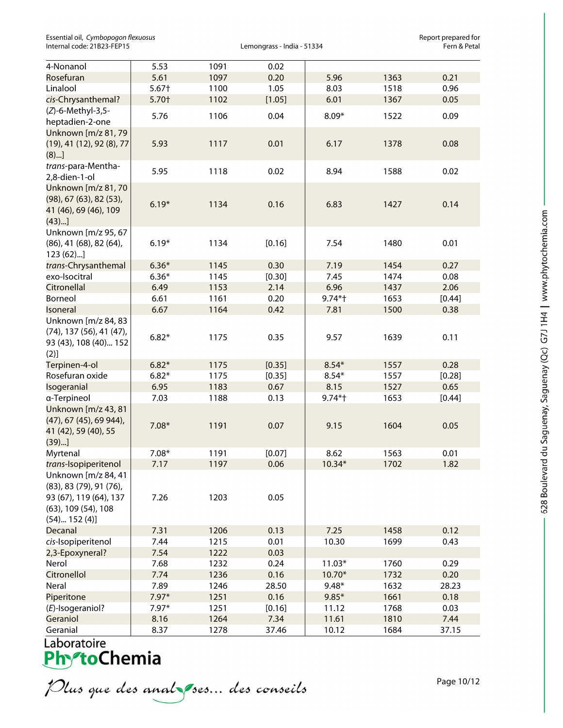| Essential oil, Cymbopogon flexuosus |
|-------------------------------------|
| Internal code: 21B23-FEP15          |

Lemongrass - India - 51334

Essential oil, *Cymbopogon flexuosus* Report prepared for

| 4-Nonanol                         | 5.53    | 1091 | 0.02   |           |      |        |
|-----------------------------------|---------|------|--------|-----------|------|--------|
| Rosefuran                         | 5.61    | 1097 | 0.20   | 5.96      | 1363 | 0.21   |
| Linalool                          | $5.67+$ | 1100 | 1.05   | 8.03      | 1518 | 0.96   |
| cis-Chrysanthemal?                | 5.70+   | 1102 | [1.05] | 6.01      | 1367 | 0.05   |
| (Z)-6-Methyl-3,5-                 | 5.76    | 1106 | 0.04   | $8.09*$   | 1522 | 0.09   |
| heptadien-2-one                   |         |      |        |           |      |        |
| Unknown [m/z 81, 79               |         |      |        |           |      |        |
| (19), 41 (12), 92 (8), 77         | 5.93    | 1117 | 0.01   | 6.17      | 1378 | 0.08   |
| (8)]                              |         |      |        |           |      |        |
| trans-para-Mentha-                |         |      |        |           |      |        |
| 2,8-dien-1-ol                     | 5.95    | 1118 | 0.02   | 8.94      | 1588 | 0.02   |
| Unknown [m/z 81, 70               |         |      |        |           |      |        |
| (98), 67 (63), 82 (53),           |         |      |        |           |      |        |
| 41 (46), 69 (46), 109             | $6.19*$ | 1134 | 0.16   | 6.83      | 1427 | 0.14   |
| (43)                              |         |      |        |           |      |        |
| Unknown [m/z 95, 67               |         |      |        |           |      |        |
| $(86)$ , 41 $(68)$ , 82 $(64)$ ,  | $6.19*$ | 1134 | [0.16] | 7.54      | 1480 | 0.01   |
| 123(62)                           |         |      |        |           |      |        |
| trans-Chrysanthemal               | $6.36*$ | 1145 | 0.30   | 7.19      | 1454 | 0.27   |
| exo-Isocitral                     | $6.36*$ | 1145 | [0.30] | 7.45      | 1474 | 0.08   |
| Citronellal                       | 6.49    | 1153 | 2.14   | 6.96      | 1437 | 2.06   |
| Borneol                           | 6.61    | 1161 | 0.20   | $9.74*$ † | 1653 | [0.44] |
| Isoneral                          | 6.67    | 1164 | 0.42   | 7.81      | 1500 | 0.38   |
| Unknown [m/z 84, 83               |         |      |        |           |      |        |
| $(74)$ , 137 $(56)$ , 41 $(47)$ , |         |      |        |           |      |        |
| 93 (43), 108 (40) 152             | $6.82*$ | 1175 | 0.35   | 9.57      | 1639 | 0.11   |
| (2)]                              |         |      |        |           |      |        |
| Terpinen-4-ol                     | $6.82*$ | 1175 | [0.35] | $8.54*$   | 1557 | 0.28   |
| Rosefuran oxide                   | $6.82*$ | 1175 | [0.35] | $8.54*$   | 1557 | [0.28] |
| Isogeranial                       | 6.95    | 1183 | 0.67   | 8.15      | 1527 | 0.65   |
| a-Terpineol                       | 7.03    | 1188 | 0.13   | 9.74*†    | 1653 | [0.44] |
| Unknown [m/z 43, 81               |         |      |        |           |      |        |
| (47), 67 (45), 69 944),           |         |      |        |           |      |        |
| 41 (42), 59 (40), 55              | $7.08*$ | 1191 | 0.07   | 9.15      | 1604 | 0.05   |
| $(39)$ ]                          |         |      |        |           |      |        |
| Myrtenal                          | $7.08*$ | 1191 | [0.07] | 8.62      | 1563 | 0.01   |
| trans-Isopiperitenol              | 7.17    | 1197 | 0.06   | 10.34*    | 1702 | 1.82   |
| Unknown [m/z 84, 41               |         |      |        |           |      |        |
| (83), 83 (79), 91 (76),           |         |      |        |           |      |        |
| 93 (67), 119 (64), 137            | 7.26    | 1203 | 0.05   |           |      |        |
| (63), 109 (54), 108               |         |      |        |           |      |        |
| $(54)$ 152 $(4)$ ]                |         |      |        |           |      |        |
| Decanal                           | 7.31    | 1206 | 0.13   | 7.25      | 1458 | 0.12   |
| cis-Isopiperitenol                | 7.44    | 1215 | 0.01   | 10.30     | 1699 | 0.43   |
| 2,3-Epoxyneral?                   | 7.54    | 1222 | 0.03   |           |      |        |
| Nerol                             | 7.68    | 1232 | 0.24   | $11.03*$  | 1760 | 0.29   |
| Citronellol                       | 7.74    | 1236 | 0.16   | 10.70*    | 1732 | 0.20   |
| Neral                             | 7.89    | 1246 | 28.50  | $9.48*$   | 1632 | 28.23  |
| Piperitone                        | $7.97*$ | 1251 | 0.16   | $9.85*$   | 1661 | 0.18   |
| $(E)$ -Isogeraniol?               | $7.97*$ | 1251 | [0.16] | 11.12     | 1768 | 0.03   |
| Geraniol                          | 8.16    | 1264 | 7.34   | 11.61     | 1810 | 7.44   |
| Geranial                          | 8.37    | 1278 | 37.46  | 10.12     | 1684 | 37.15  |

# Laboratoire<br>**Phy<sup>s</sup>toChemia**

Plus que des analzes... des conseils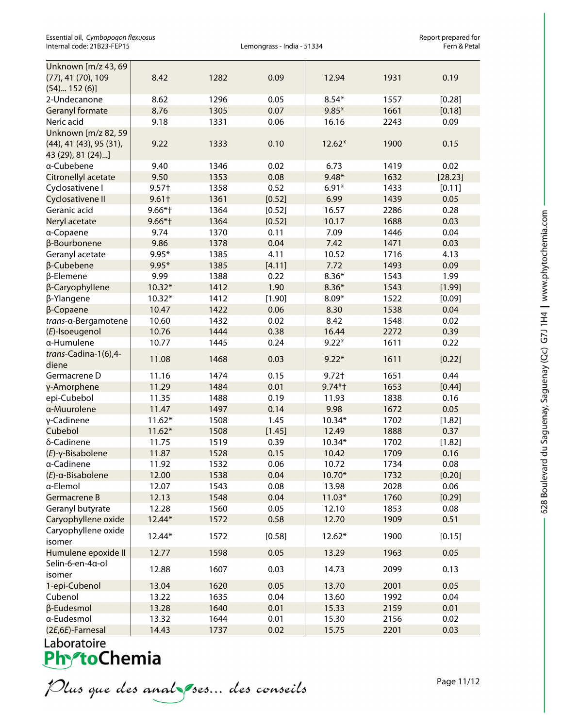Essential oil, *Cymbopogon flexuosus* Report prepared for Internal code: 21B23-FEP15

| Unknown [m/z 43, 69<br>(77), 41 (70), 109                           | 8.42      | 1282 | 0.09   | 12.94     | 1931 | 0.19    |
|---------------------------------------------------------------------|-----------|------|--------|-----------|------|---------|
| $(54)$ 152 $(6)$ ]                                                  |           |      |        |           |      |         |
| 2-Undecanone                                                        | 8.62      | 1296 | 0.05   | $8.54*$   | 1557 | [0.28]  |
| <b>Geranyl formate</b>                                              | 8.76      | 1305 | 0.07   | $9.85*$   | 1661 | [0.18]  |
| Neric acid                                                          | 9.18      | 1331 | 0.06   | 16.16     | 2243 | 0.09    |
| Unknown [m/z 82, 59<br>(44), 41 (43), 95 (31),<br>43 (29), 81 (24)] | 9.22      | 1333 | 0.10   | $12.62*$  | 1900 | 0.15    |
| a-Cubebene                                                          | 9.40      | 1346 | 0.02   | 6.73      | 1419 | 0.02    |
| Citronellyl acetate                                                 | 9.50      | 1353 | 0.08   | $9.48*$   | 1632 | [28.23] |
| Cyclosativene I                                                     | $9.57+$   | 1358 | 0.52   | $6.91*$   | 1433 | [0.11]  |
| Cyclosativene II                                                    | $9.61+$   | 1361 | [0.52] | 6.99      | 1439 | 0.05    |
| Geranic acid                                                        | $9.66*$ † | 1364 | [0.52] | 16.57     | 2286 | 0.28    |
| Neryl acetate                                                       | $9.66*$ † | 1364 | [0.52] | 10.17     | 1688 | 0.03    |
| a-Copaene                                                           | 9.74      | 1370 | 0.11   | 7.09      | 1446 | 0.04    |
| β-Bourbonene                                                        | 9.86      | 1378 | 0.04   | 7.42      | 1471 | 0.03    |
| Geranyl acetate                                                     | $9.95*$   | 1385 | 4.11   | 10.52     | 1716 | 4.13    |
| β-Cubebene                                                          | $9.95*$   | 1385 | [4.11] | 7.72      | 1493 | 0.09    |
| β-Elemene                                                           | 9.99      | 1388 | 0.22   | $8.36*$   | 1543 | 1.99    |
| β-Caryophyllene                                                     | $10.32*$  | 1412 | 1.90   | $8.36*$   | 1543 | [1.99]  |
| β-Ylangene                                                          | $10.32*$  | 1412 | [1.90] | $8.09*$   | 1522 | [0.09]  |
| β-Copaene                                                           | 10.47     | 1422 | 0.06   | 8.30      | 1538 | 0.04    |
| trans-a-Bergamotene                                                 | 10.60     | 1432 | 0.02   | 8.42      | 1548 | 0.02    |
| (E)-Isoeugenol                                                      | 10.76     | 1444 | 0.38   | 16.44     | 2272 | 0.39    |
| a-Humulene                                                          | 10.77     | 1445 | 0.24   | $9.22*$   | 1611 | 0.22    |
| trans-Cadina-1(6),4-<br>diene                                       | 11.08     | 1468 | 0.03   | $9.22*$   | 1611 | [0.22]  |
| Germacrene D                                                        | 11.16     | 1474 | 0.15   | $9.72+$   | 1651 | 0.44    |
| γ-Amorphene                                                         | 11.29     | 1484 | 0.01   | $9.74*$ † | 1653 | [0.44]  |
| epi-Cubebol                                                         | 11.35     | 1488 | 0.19   | 11.93     | 1838 | 0.16    |
| a-Muurolene                                                         | 11.47     | 1497 | 0.14   | 9.98      | 1672 | 0.05    |
| γ-Cadinene                                                          | $11.62*$  | 1508 | 1.45   | $10.34*$  | 1702 | [1.82]  |
| Cubebol                                                             | $11.62*$  | 1508 | [1.45] | 12.49     | 1888 | 0.37    |
| δ-Cadinene                                                          | 11.75     | 1519 | 0.39   | 10.34*    | 1702 | [1.82]  |
| (E)-γ-Bisabolene                                                    | 11.87     | 1528 | 0.15   | 10.42     | 1709 | 0.16    |
| a-Cadinene                                                          | 11.92     | 1532 | 0.06   | 10.72     | 1734 | 0.08    |
| $(E)$ -a-Bisabolene                                                 | 12.00     | 1538 | 0.04   | $10.70*$  | 1732 | [0.20]  |
| a-Elemol                                                            | 12.07     | 1543 | 0.08   | 13.98     | 2028 | 0.06    |
| Germacrene B                                                        | 12.13     | 1548 | 0.04   | $11.03*$  | 1760 | [0.29]  |
| Geranyl butyrate                                                    | 12.28     | 1560 | 0.05   | 12.10     | 1853 | 0.08    |
| Caryophyllene oxide                                                 | 12.44*    | 1572 | 0.58   | 12.70     | 1909 | 0.51    |
| Caryophyllene oxide<br>isomer                                       | 12.44*    | 1572 | [0.58] | $12.62*$  | 1900 | [0.15]  |
| Humulene epoxide II                                                 | 12.77     | 1598 | 0.05   | 13.29     | 1963 | 0.05    |
| Selin-6-en-4a-ol                                                    |           |      |        |           |      |         |
| isomer                                                              | 12.88     | 1607 | 0.03   | 14.73     | 2099 | 0.13    |
| 1-epi-Cubenol                                                       | 13.04     | 1620 | 0.05   | 13.70     | 2001 | 0.05    |
| Cubenol                                                             | 13.22     | 1635 | 0.04   | 13.60     | 1992 | 0.04    |
| β-Eudesmol                                                          | 13.28     | 1640 | 0.01   | 15.33     | 2159 | 0.01    |
| a-Eudesmol                                                          | 13.32     | 1644 | 0.01   | 15.30     | 2156 | 0.02    |
| (2E,6E)-Farnesal                                                    | 14.43     | 1737 | 0.02   | 15.75     | 2201 | 0.03    |

Laboratoire<br>**Phy<sup>s</sup>toChemia** 

Plus que des analzes... des conseils